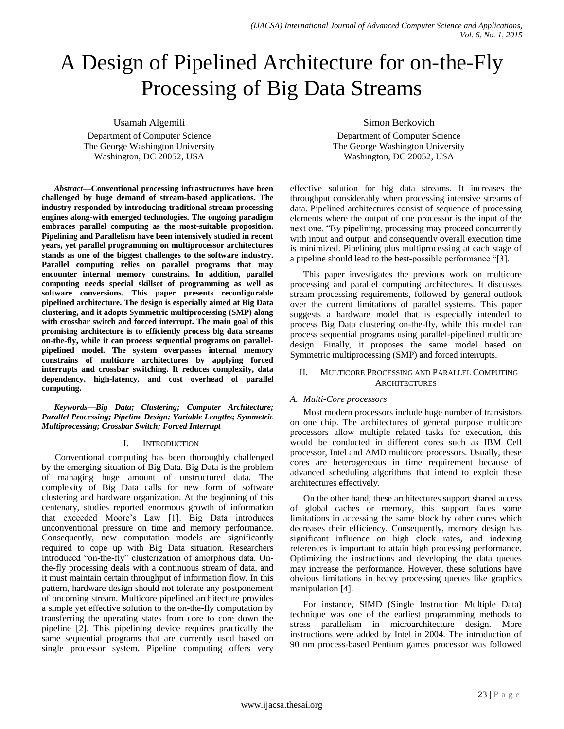# A Design of Pipelined Architecture for on-the-Fly Processing of Big Data Streams

Usamah Algemili

Department of Computer Science The George Washington University Washington, DC 20052, USA

*Abstract***—Conventional processing infrastructures have been challenged by huge demand of stream-based applications. The industry responded by introducing traditional stream processing engines along-with emerged technologies. The ongoing paradigm embraces parallel computing as the most-suitable proposition. Pipelining and Parallelism have been intensively studied in recent years, yet parallel programming on multiprocessor architectures stands as one of the biggest challenges to the software industry. Parallel computing relies on parallel programs that may encounter internal memory constrains. In addition, parallel computing needs special skillset of programming as well as software conversions. This paper presents reconfigurable pipelined architecture. The design is especially aimed at Big Data clustering, and it adopts Symmetric multiprocessing (SMP) along with crossbar switch and forced interrupt. The main goal of this promising architecture is to efficiently process big data streams on-the-fly, while it can process sequential programs on parallelpipelined model. The system overpasses internal memory constrains of multicore architectures by applying forced interrupts and crossbar switching. It reduces complexity, data dependency, high-latency, and cost overhead of parallel computing.**

*Keywords—Big Data; Clustering; Computer Architecture; Parallel Processing; Pipeline Design; Variable Lengths; Symmetric Multiprocessing; Crossbar Switch; Forced Interrupt*

## I. INTRODUCTION

Conventional computing has been thoroughly challenged by the emerging situation of Big Data. Big Data is the problem of managing huge amount of unstructured data. The complexity of Big Data calls for new form of software clustering and hardware organization. At the beginning of this centenary, studies reported enormous growth of information that exceeded Moore's Law [1]. Big Data introduces unconventional pressure on time and memory performance. Consequently, new computation models are significantly required to cope up with Big Data situation. Researchers introduced "on-the-fly" clusterization of amorphous data. Onthe-fly processing deals with a continuous stream of data, and it must maintain certain throughput of information flow. In this pattern, hardware design should not tolerate any postponement of oncoming stream. Multicore pipelined architecture provides a simple yet effective solution to the on-the-fly computation by transferring the operating states from core to core down the pipeline [2]. This pipelining device requires practically the same sequential programs that are currently used based on single processor system. Pipeline computing offers very

Simon Berkovich

Department of Computer Science The George Washington University Washington, DC 20052, USA

effective solution for big data streams. It increases the throughput considerably when processing intensive streams of data. Pipelined architectures consist of sequence of processing elements where the output of one processor is the input of the next one. "By pipelining, processing may proceed concurrently with input and output, and consequently overall execution time is minimized. Pipelining plus multiprocessing at each stage of a pipeline should lead to the best-possible performance "[3].

This paper investigates the previous work on multicore processing and parallel computing architectures. It discusses stream processing requirements, followed by general outlook over the current limitations of parallel systems. This paper suggests a hardware model that is especially intended to process Big Data clustering on-the-fly, while this model can process sequential programs using parallel-pipelined multicore design. Finally, it proposes the same model based on Symmetric multiprocessing (SMP) and forced interrupts.

## II. MULTICORE PROCESSING AND PARALLEL COMPUTING **ARCHITECTURES**

# *A. Multi-Core processors*

Most modern processors include huge number of transistors on one chip. The architectures of general purpose multicore processors allow multiple related tasks for execution, this would be conducted in different cores such as IBM Cell processor, Intel and AMD multicore processors. Usually, these cores are heterogeneous in time requirement because of advanced scheduling algorithms that intend to exploit these architectures effectively.

On the other hand, these architectures support shared access of global caches or memory, this support faces some limitations in accessing the same block by other cores which decreases their efficiency. Consequently, memory design has significant influence on high clock rates, and indexing references is important to attain high processing performance. Optimizing the instructions and developing the data queues may increase the performance. However, these solutions have obvious limitations in heavy processing queues like graphics manipulation [4].

For instance, SIMD (Single Instruction Multiple Data) technique was one of the earliest programming methods to stress parallelism in microarchitecture design. More instructions were added by Intel in 2004. The introduction of 90 nm process-based Pentium games processor was followed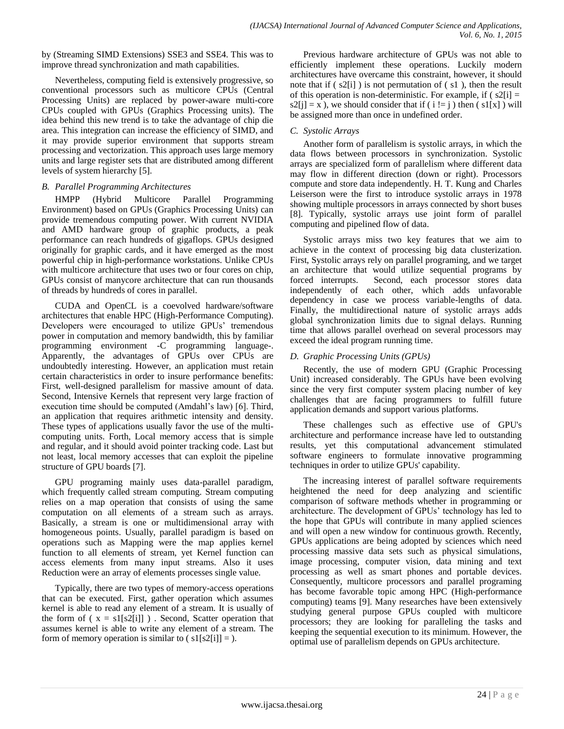by (Streaming SIMD Extensions) SSE3 and SSE4. This was to improve thread synchronization and math capabilities.

Nevertheless, computing field is extensively progressive, so conventional processors such as multicore CPUs (Central Processing Units) are replaced by power-aware multi-core CPUs coupled with GPUs (Graphics Processing units). The idea behind this new trend is to take the advantage of chip die area. This integration can increase the efficiency of SIMD, and it may provide superior environment that supports stream processing and vectorization. This approach uses large memory units and large register sets that are distributed among different levels of system hierarchy [5].

# *B. Parallel Programming Architectures*

HMPP (Hybrid Multicore Parallel Programming Environment) based on GPUs (Graphics Processing Units) can provide tremendous computing power. With current NVIDIA and AMD hardware group of graphic products, a peak performance can reach hundreds of gigaflops. GPUs designed originally for graphic cards, and it have emerged as the most powerful chip in high-performance workstations. Unlike CPUs with multicore architecture that uses two or four cores on chip, GPUs consist of manycore architecture that can run thousands of threads by hundreds of cores in parallel.

CUDA and OpenCL is a coevolved hardware/software architectures that enable HPC (High-Performance Computing). Developers were encouraged to utilize GPUs' tremendous power in computation and memory bandwidth, this by familiar programming environment -C programming language-. Apparently, the advantages of GPUs over CPUs are undoubtedly interesting. However, an application must retain certain characteristics in order to insure performance benefits: First, well-designed parallelism for massive amount of data. Second, Intensive Kernels that represent very large fraction of execution time should be computed (Amdahl's law) [6]. Third, an application that requires arithmetic intensity and density. These types of applications usually favor the use of the multicomputing units. Forth, Local memory access that is simple and regular, and it should avoid pointer tracking code. Last but not least, local memory accesses that can exploit the pipeline structure of GPU boards [7].

GPU programing mainly uses data-parallel paradigm, which frequently called stream computing. Stream computing relies on a map operation that consists of using the same computation on all elements of a stream such as arrays. Basically, a stream is one or multidimensional array with homogeneous points. Usually, parallel paradigm is based on operations such as Mapping were the map applies kernel function to all elements of stream, yet Kernel function can access elements from many input streams. Also it uses Reduction were an array of elements processes single value.

Typically, there are two types of memory-access operations that can be executed. First, gather operation which assumes kernel is able to read any element of a stream. It is usually of the form of ( $x = s1[s2[i]]$ ). Second, Scatter operation that assumes kernel is able to write any element of a stream. The form of memory operation is similar to  $\left( \frac{s1[s2[i]]}{=} \right)$ .

Previous hardware architecture of GPUs was not able to efficiently implement these operations. Luckily modern architectures have overcame this constraint, however, it should note that if  $(s2[i])$  is not permutation of  $(s1)$ , then the result of this operation is non-deterministic. For example, if  $(s2[i] =$  $s2[j] = x$ , we should consider that if ( i != j ) then ( s1[x]) will be assigned more than once in undefined order.

# *C. Systolic Arrays*

Another form of parallelism is systolic arrays, in which the data flows between processors in synchronization. Systolic arrays are specialized form of parallelism where different data may flow in different direction (down or right). Processors compute and store data independently. H. T. Kung and Charles Leiserson were the first to introduce systolic arrays in 1978 showing multiple processors in arrays connected by short buses [8]. Typically, systolic arrays use joint form of parallel computing and pipelined flow of data.

Systolic arrays miss two key features that we aim to achieve in the context of processing big data clusterization. First, Systolic arrays rely on parallel programing, and we target an architecture that would utilize sequential programs by forced interrupts. Second, each processor stores data independently of each other, which adds unfavorable dependency in case we process variable-lengths of data. Finally, the multidirectional nature of systolic arrays adds global synchronization limits due to signal delays. Running time that allows parallel overhead on several processors may exceed the ideal program running time.

# *D. Graphic Processing Units (GPUs)*

Recently, the use of modern GPU (Graphic Processing Unit) increased considerably. The GPUs have been evolving since the very first computer system placing number of key challenges that are facing programmers to fulfill future application demands and support various platforms.

These challenges such as effective use of GPU's architecture and performance increase have led to outstanding results, yet this computational advancement stimulated software engineers to formulate innovative programming techniques in order to utilize GPUs' capability.

The increasing interest of parallel software requirements heightened the need for deep analyzing and scientific comparison of software methods whether in programming or architecture. The development of GPUs' technology has led to the hope that GPUs will contribute in many applied sciences and will open a new window for continuous growth. Recently, GPUs applications are being adopted by sciences which need processing massive data sets such as physical simulations, image processing, computer vision, data mining and text processing as well as smart phones and portable devices. Consequently, multicore processors and parallel programing has become favorable topic among HPC (High-performance computing) teams [9]. Many researches have been extensively studying general purpose GPUs coupled with multicore processors; they are looking for paralleling the tasks and keeping the sequential execution to its minimum. However, the optimal use of parallelism depends on GPUs architecture.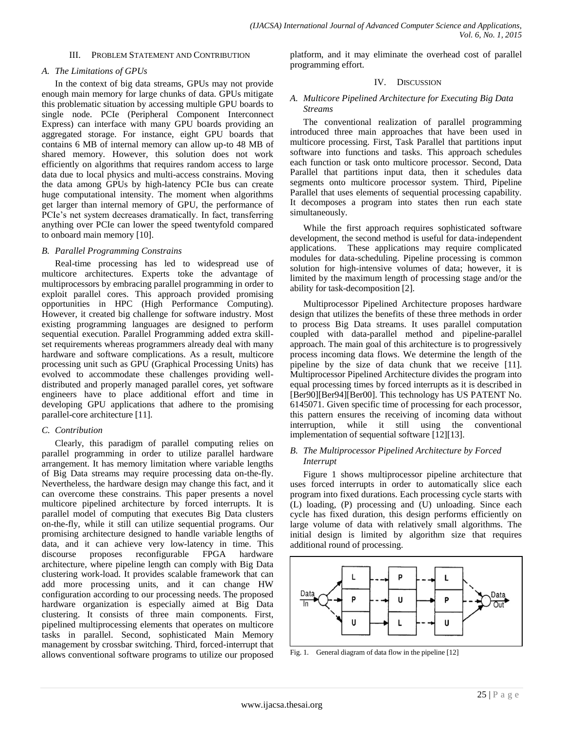#### III. PROBLEM STATEMENT AND CONTRIBUTION

#### *A. The Limitations of GPUs*

In the context of big data streams, GPUs may not provide enough main memory for large chunks of data. GPUs mitigate this problematic situation by accessing multiple GPU boards to single node. PCIe (Peripheral Component Interconnect Express) can interface with many GPU boards providing an aggregated storage. For instance, eight GPU boards that contains 6 MB of internal memory can allow up-to 48 MB of shared memory. However, this solution does not work efficiently on algorithms that requires random access to large data due to local physics and multi-access constrains. Moving the data among GPUs by high-latency PCIe bus can create huge computational intensity. The moment when algorithms get larger than internal memory of GPU, the performance of PCIe's net system decreases dramatically. In fact, transferring anything over PCIe can lower the speed twentyfold compared to onboard main memory [10].

#### *B. Parallel Programming Constrains*

Real-time processing has led to widespread use of multicore architectures. Experts toke the advantage of multiprocessors by embracing parallel programming in order to exploit parallel cores. This approach provided promising opportunities in HPC (High Performance Computing). However, it created big challenge for software industry. Most existing programming languages are designed to perform sequential execution. Parallel Programming added extra skillset requirements whereas programmers already deal with many hardware and software complications. As a result, multicore processing unit such as GPU (Graphical Processing Units) has evolved to accommodate these challenges providing welldistributed and properly managed parallel cores, yet software engineers have to place additional effort and time in developing GPU applications that adhere to the promising parallel-core architecture [11].

## *C. Contribution*

Clearly, this paradigm of parallel computing relies on parallel programming in order to utilize parallel hardware arrangement. It has memory limitation where variable lengths of Big Data streams may require processing data on-the-fly. Nevertheless, the hardware design may change this fact, and it can overcome these constrains. This paper presents a novel multicore pipelined architecture by forced interrupts. It is parallel model of computing that executes Big Data clusters on-the-fly, while it still can utilize sequential programs. Our promising architecture designed to handle variable lengths of data, and it can achieve very low-latency in time. This discourse proposes reconfigurable FPGA hardware architecture, where pipeline length can comply with Big Data clustering work-load. It provides scalable framework that can add more processing units, and it can change HW configuration according to our processing needs. The proposed hardware organization is especially aimed at Big Data clustering. It consists of three main components. First, pipelined multiprocessing elements that operates on multicore tasks in parallel. Second, sophisticated Main Memory management by crossbar switching. Third, forced-interrupt that allows conventional software programs to utilize our proposed

platform, and it may eliminate the overhead cost of parallel programming effort.

#### IV. DISCUSSION

#### *A. Multicore Pipelined Architecture for Executing Big Data Streams*

The conventional realization of parallel programming introduced three main approaches that have been used in multicore processing. First, Task Parallel that partitions input software into functions and tasks. This approach schedules each function or task onto multicore processor. Second, Data Parallel that partitions input data, then it schedules data segments onto multicore processor system. Third, Pipeline Parallel that uses elements of sequential processing capability. It decomposes a program into states then run each state simultaneously.

While the first approach requires sophisticated software development, the second method is useful for data-independent applications. These applications may require complicated modules for data-scheduling. Pipeline processing is common solution for high-intensive volumes of data; however, it is limited by the maximum length of processing stage and/or the ability for task-decomposition [2].

Multiprocessor Pipelined Architecture proposes hardware design that utilizes the benefits of these three methods in order to process Big Data streams. It uses parallel computation coupled with data-parallel method and pipeline-parallel approach. The main goal of this architecture is to progressively process incoming data flows. We determine the length of the pipeline by the size of data chunk that we receive [11]. Multiprocessor Pipelined Architecture divides the program into equal processing times by forced interrupts as it is described in [Ber90][Ber94][Ber00]. This technology has US PATENT No. 6145071. Given specific time of processing for each processor, this pattern ensures the receiving of incoming data without interruption, while it still using the conventional implementation of sequential software [12][13].

## *B. The Multiprocessor Pipelined Architecture by Forced Interrupt*

Figure 1 shows multiprocessor pipeline architecture that uses forced interrupts in order to automatically slice each program into fixed durations. Each processing cycle starts with (L) loading, (P) processing and (U) unloading. Since each cycle has fixed duration, this design performs efficiently on large volume of data with relatively small algorithms. The initial design is limited by algorithm size that requires additional round of processing.



Fig. 1. General diagram of data flow in the pipeline [12]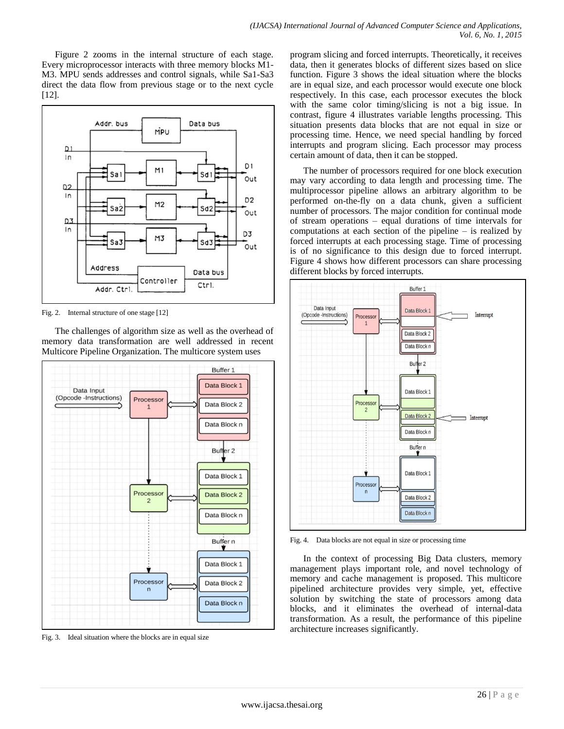Figure 2 zooms in the internal structure of each stage. Every microprocessor interacts with three memory blocks M1- M3. MPU sends addresses and control signals, while Sa1-Sa3 direct the data flow from previous stage or to the next cycle [12].



Fig. 2. Internal structure of one stage [12]

The challenges of algorithm size as well as the overhead of memory data transformation are well addressed in recent Multicore Pipeline Organization. The multicore system uses



Fig. 3. Ideal situation where the blocks are in equal size

program slicing and forced interrupts. Theoretically, it receives data, then it generates blocks of different sizes based on slice function. Figure 3 shows the ideal situation where the blocks are in equal size, and each processor would execute one block respectively. In this case, each processor executes the block with the same color timing/slicing is not a big issue. In contrast, figure 4 illustrates variable lengths processing. This situation presents data blocks that are not equal in size or processing time. Hence, we need special handling by forced interrupts and program slicing. Each processor may process certain amount of data, then it can be stopped.

The number of processors required for one block execution may vary according to data length and processing time. The multiprocessor pipeline allows an arbitrary algorithm to be performed on-the-fly on a data chunk, given a sufficient number of processors. The major condition for continual mode of stream operations – equal durations of time intervals for computations at each section of the pipeline – is realized by forced interrupts at each processing stage. Time of processing is of no significance to this design due to forced interrupt. Figure 4 shows how different processors can share processing different blocks by forced interrupts.



Fig. 4. Data blocks are not equal in size or processing time

In the context of processing Big Data clusters, memory management plays important role, and novel technology of memory and cache management is proposed. This multicore pipelined architecture provides very simple, yet, effective solution by switching the state of processors among data blocks, and it eliminates the overhead of internal-data transformation. As a result, the performance of this pipeline architecture increases significantly.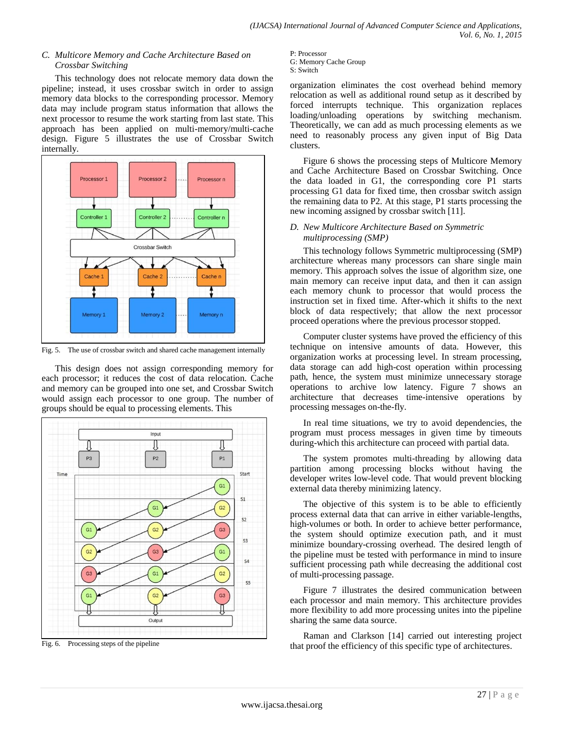# *C. Multicore Memory and Cache Architecture Based on Crossbar Switching*

This technology does not relocate memory data down the pipeline; instead, it uses crossbar switch in order to assign memory data blocks to the corresponding processor. Memory data may include program status information that allows the next processor to resume the work starting from last state. This approach has been applied on multi-memory/multi-cache design. Figure 5 illustrates the use of Crossbar Switch internally.



Fig. 5. The use of crossbar switch and shared cache management internally

This design does not assign corresponding memory for each processor; it reduces the cost of data relocation. Cache and memory can be grouped into one set, and Crossbar Switch would assign each processor to one group. The number of groups should be equal to processing elements. This



Fig. 6. Processing steps of the pipeline

P: Processor G: Memory Cache Group S: Switch

organization eliminates the cost overhead behind memory relocation as well as additional round setup as it described by forced interrupts technique. This organization replaces loading/unloading operations by switching mechanism. Theoretically, we can add as much processing elements as we need to reasonably process any given input of Big Data clusters.

Figure 6 shows the processing steps of Multicore Memory and Cache Architecture Based on Crossbar Switching. Once the data loaded in G1, the corresponding core P1 starts processing G1 data for fixed time, then crossbar switch assign the remaining data to P2. At this stage, P1 starts processing the new incoming assigned by crossbar switch [11].

# *D. New Multicore Architecture Based on Symmetric multiprocessing (SMP)*

This technology follows Symmetric multiprocessing (SMP) architecture whereas many processors can share single main memory. This approach solves the issue of algorithm size, one main memory can receive input data, and then it can assign each memory chunk to processor that would process the instruction set in fixed time. After-which it shifts to the next block of data respectively; that allow the next processor proceed operations where the previous processor stopped.

Computer cluster systems have proved the efficiency of this technique on intensive amounts of data. However, this organization works at processing level. In stream processing, data storage can add high-cost operation within processing path, hence, the system must minimize unnecessary storage operations to archive low latency. Figure 7 shows an architecture that decreases time-intensive operations by processing messages on-the-fly.

In real time situations, we try to avoid dependencies, the program must process messages in given time by timeouts during-which this architecture can proceed with partial data.

The system promotes multi-threading by allowing data partition among processing blocks without having the developer writes low-level code. That would prevent blocking external data thereby minimizing latency.

The objective of this system is to be able to efficiently process external data that can arrive in either variable-lengths, high-volumes or both. In order to achieve better performance, the system should optimize execution path, and it must minimize boundary-crossing overhead. The desired length of the pipeline must be tested with performance in mind to insure sufficient processing path while decreasing the additional cost of multi-processing passage.

Figure 7 illustrates the desired communication between each processor and main memory. This architecture provides more flexibility to add more processing unites into the pipeline sharing the same data source.

Raman and Clarkson [14] carried out interesting project that proof the efficiency of this specific type of architectures.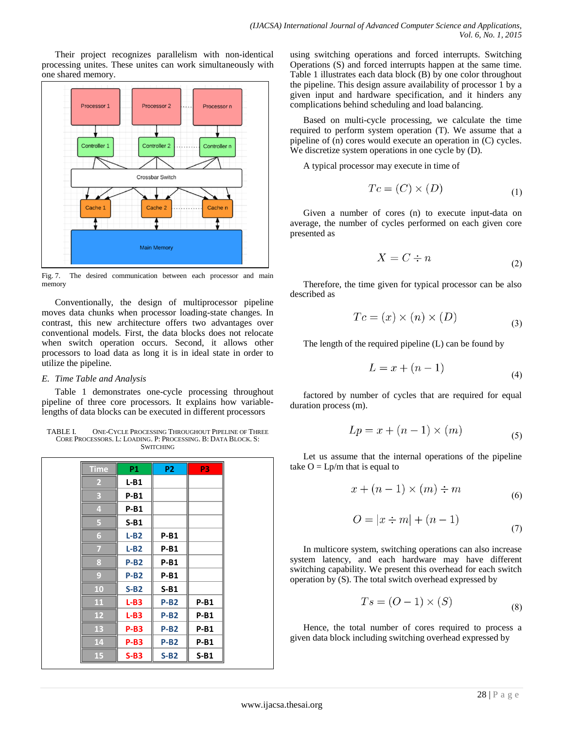Their project recognizes parallelism with non-identical processing unites. These unites can work simultaneously with one shared memory.



Fig. 7. The desired communication between each processor and main memory

Conventionally, the design of multiprocessor pipeline moves data chunks when processor loading-state changes. In contrast, this new architecture offers two advantages over conventional models. First, the data blocks does not relocate when switch operation occurs. Second, it allows other processors to load data as long it is in ideal state in order to utilize the pipeline.

## *E. Time Table and Analysis*

Table 1 demonstrates one-cycle processing throughout pipeline of three core processors. It explains how variablelengths of data blocks can be executed in different processors

TABLE I. ONE-CYCLE PROCESSING THROUGHOUT PIPELINE OF THREE CORE PROCESSORS. L: LOADING. P: PROCESSING. B: DATA BLOCK. S: **SWITCHING** 

| <b>Time</b> | <b>P1</b>   | <b>P2</b> | P <sub>3</sub> |
|-------------|-------------|-----------|----------------|
| 2           | $L-B1$      |           |                |
| В           | $P-B1$      |           |                |
| 4           | $P-B1$      |           |                |
| 5           | $S-B1$      |           |                |
| 6           | $L-B2$      | $P-B1$    |                |
| 7           | $L-B2$      | $P-B1$    |                |
| 8           | $P-B2$      | $P-B1$    |                |
| 9           | $P-B2$      | $P-B1$    |                |
| <b>10</b>   | $S-B2$      | $S-B1$    |                |
| 11          | $L-B3$      | $P-B2$    | $P-B1$         |
| 12          | $L-B3$      | $P-B2$    | $P-B1$         |
| 13          | $P-B3$      | $P-B2$    | $P-B1$         |
| 14          | <b>P-B3</b> | $P-B2$    | $P-B1$         |
| 15          | $S-B3$      | $S-B2$    | $S-B1$         |

using switching operations and forced interrupts. Switching Operations (S) and forced interrupts happen at the same time. Table 1 illustrates each data block (B) by one color throughout the pipeline. This design assure availability of processor 1 by a given input and hardware specification, and it hinders any complications behind scheduling and load balancing.

Based on multi-cycle processing, we calculate the time required to perform system operation (T). We assume that a pipeline of (n) cores would execute an operation in (C) cycles. We discretize system operations in one cycle by (D).

A typical processor may execute in time of

$$
Tc = (C) \times (D) \tag{1}
$$

Given a number of cores (n) to execute input-data on average, the number of cycles performed on each given core presented as

$$
X = C \div n \tag{2}
$$

Therefore, the time given for typical processor can be also described as

$$
Tc = (x) \times (n) \times (D)
$$
\n(3)

The length of the required pipeline (L) can be found by

$$
L = x + (n - 1) \tag{4}
$$

factored by number of cycles that are required for equal duration process (m).

$$
Lp = x + (n - 1) \times (m) \tag{5}
$$

Let us assume that the internal operations of the pipeline take  $O = Lp/m$  that is equal to

$$
x + (n - 1) \times (m) \div m \tag{6}
$$

$$
O = |x \div m| + (n - 1)
$$
\n<sup>(7)</sup>

In multicore system, switching operations can also increase system latency, and each hardware may have different switching capability. We present this overhead for each switch operation by (S). The total switch overhead expressed by

$$
Ts = (O - 1) \times (S) \tag{8}
$$

Hence, the total number of cores required to process a given data block including switching overhead expressed by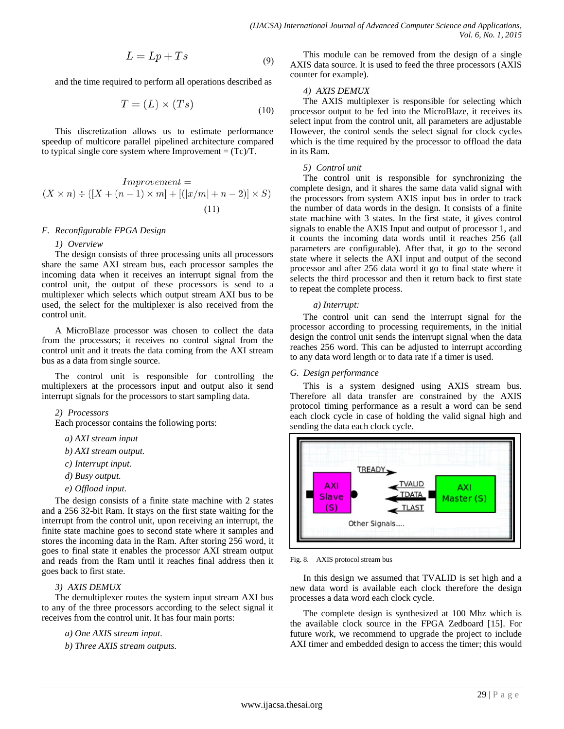$$
L = Lp + Ts \tag{9}
$$

and the time required to perform all operations described as

$$
T = (L) \times (Ts) \tag{10}
$$

This discretization allows us to estimate performance speedup of multicore parallel pipelined architecture compared to typical single core system where Improvement  $= (Tc)/T$ .

$$
Improvement =
$$
  

$$
(X \times n) \div ([X + (n - 1) \times m] + [([x/m] + n - 2)] \times S)
$$
  
(11)

# *F. Reconfigurable FPGA Design*

#### *1) Overview*

The design consists of three processing units all processors share the same AXI stream bus, each processor samples the incoming data when it receives an interrupt signal from the control unit, the output of these processors is send to a multiplexer which selects which output stream AXI bus to be used, the select for the multiplexer is also received from the control unit.

A MicroBlaze processor was chosen to collect the data from the processors; it receives no control signal from the control unit and it treats the data coming from the AXI stream bus as a data from single source.

The control unit is responsible for controlling the multiplexers at the processors input and output also it send interrupt signals for the processors to start sampling data.

#### *2) Processors*

Each processor contains the following ports:

- *a) AXI stream input*
- *b) AXI stream output.*
- *c) Interrupt input.*
- *d) Busy output.*
- *e) Offload input.*

The design consists of a finite state machine with 2 states and a 256 32-bit Ram. It stays on the first state waiting for the interrupt from the control unit, upon receiving an interrupt, the finite state machine goes to second state where it samples and stores the incoming data in the Ram. After storing 256 word, it goes to final state it enables the processor AXI stream output and reads from the Ram until it reaches final address then it goes back to first state.

#### *3) AXIS DEMUX*

The demultiplexer routes the system input stream AXI bus to any of the three processors according to the select signal it receives from the control unit. It has four main ports:

*a) One AXIS stream input.*

*b) Three AXIS stream outputs.*

This module can be removed from the design of a single AXIS data source. It is used to feed the three processors (AXIS counter for example).

# *4) AXIS DEMUX*

The AXIS multiplexer is responsible for selecting which processor output to be fed into the MicroBlaze, it receives its select input from the control unit, all parameters are adjustable However, the control sends the select signal for clock cycles which is the time required by the processor to offload the data in its Ram.

## *5) Control unit*

The control unit is responsible for synchronizing the complete design, and it shares the same data valid signal with the processors from system AXIS input bus in order to track the number of data words in the design. It consists of a finite state machine with 3 states. In the first state, it gives control signals to enable the AXIS Input and output of processor 1, and it counts the incoming data words until it reaches 256 (all parameters are configurable). After that, it go to the second state where it selects the AXI input and output of the second processor and after 256 data word it go to final state where it selects the third processor and then it return back to first state to repeat the complete process.

#### *a) Interrupt:*

The control unit can send the interrupt signal for the processor according to processing requirements, in the initial design the control unit sends the interrupt signal when the data reaches 256 word. This can be adjusted to interrupt according to any data word length or to data rate if a timer is used.

#### *G. Design performance*

This is a system designed using AXIS stream bus. Therefore all data transfer are constrained by the AXIS protocol timing performance as a result a word can be send each clock cycle in case of holding the valid signal high and sending the data each clock cycle.



Fig. 8. AXIS protocol stream bus

In this design we assumed that TVALID is set high and a new data word is available each clock therefore the design processes a data word each clock cycle.

The complete design is synthesized at 100 Mhz which is the available clock source in the FPGA Zedboard [15]. For future work, we recommend to upgrade the project to include AXI timer and embedded design to access the timer; this would